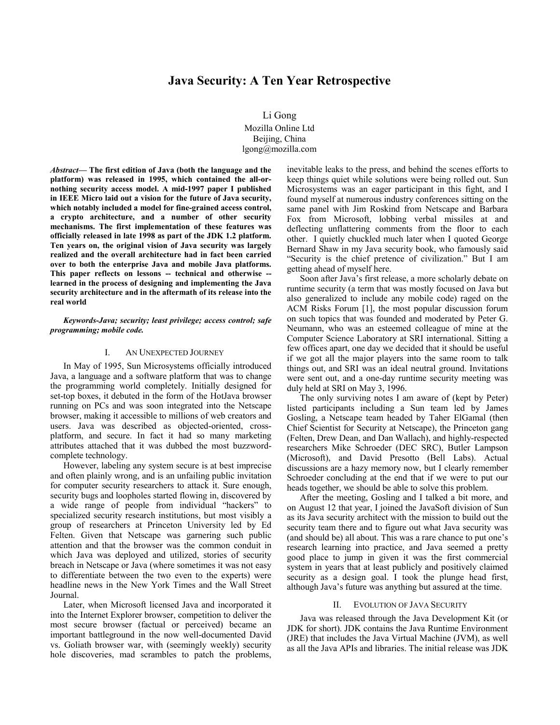# **Java Security: A Ten Year Retrospective**

Li Gong Mozilla Online Ltd Beijing, China lgong@mozilla.com

*Abstract***— The first edition of Java (both the language and the platform) was released in 1995, which contained the all-ornothing security access model. A mid-1997 paper I published in IEEE Micro laid out a vision for the future of Java security, which notably included a model for fine-grained access control, a crypto architecture, and a number of other security mechanisms. The first implementation of these features was officially released in late 1998 as part of the JDK 1.2 platform. Ten years on, the original vision of Java security was largely realized and the overall architecture had in fact been carried over to both the enterprise Java and mobile Java platforms. This paper reflects on lessons -- technical and otherwise - learned in the process of designing and implementing the Java security architecture and in the aftermath of its release into the real world** 

*Keywords-Java; security; least privilege; access control; safe programming; mobile code.* 

## I. AN UNEXPECTED JOURNEY

In May of 1995, Sun Microsystems officially introduced Java, a language and a software platform that was to change the programming world completely. Initially designed for set-top boxes, it debuted in the form of the HotJava browser running on PCs and was soon integrated into the Netscape browser, making it accessible to millions of web creators and users. Java was described as objected-oriented, crossplatform, and secure. In fact it had so many marketing attributes attached that it was dubbed the most buzzwordcomplete technology.

However, labeling any system secure is at best imprecise and often plainly wrong, and is an unfailing public invitation for computer security researchers to attack it. Sure enough, security bugs and loopholes started flowing in, discovered by a wide range of people from individual "hackers" to specialized security research institutions, but most visibly a group of researchers at Princeton University led by Ed Felten. Given that Netscape was garnering such public attention and that the browser was the common conduit in which Java was deployed and utilized, stories of security breach in Netscape or Java (where sometimes it was not easy to differentiate between the two even to the experts) were headline news in the New York Times and the Wall Street Journal.

Later, when Microsoft licensed Java and incorporated it into the Internet Explorer browser, competition to deliver the most secure browser (factual or perceived) became an important battleground in the now well-documented David vs. Goliath browser war, with (seemingly weekly) security hole discoveries, mad scrambles to patch the problems,

inevitable leaks to the press, and behind the scenes efforts to keep things quiet while solutions were being rolled out. Sun Microsystems was an eager participant in this fight, and I found myself at numerous industry conferences sitting on the same panel with Jim Roskind from Netscape and Barbara Fox from Microsoft, lobbing verbal missiles at and deflecting unflattering comments from the floor to each other. I quietly chuckled much later when I quoted George Bernard Shaw in my Java security book, who famously said "Security is the chief pretence of civilization." But I am getting ahead of myself here.

Soon after Java's first release, a more scholarly debate on runtime security (a term that was mostly focused on Java but also generalized to include any mobile code) raged on the ACM Risks Forum [1], the most popular discussion forum on such topics that was founded and moderated by Peter G. Neumann, who was an esteemed colleague of mine at the Computer Science Laboratory at SRI international. Sitting a few offices apart, one day we decided that it should be useful if we got all the major players into the same room to talk things out, and SRI was an ideal neutral ground. Invitations were sent out, and a one-day runtime security meeting was duly held at SRI on May 3, 1996.

The only surviving notes I am aware of (kept by Peter) listed participants including a Sun team led by James Gosling, a Netscape team headed by Taher ElGamal (then Chief Scientist for Security at Netscape), the Princeton gang (Felten, Drew Dean, and Dan Wallach), and highly-respected researchers Mike Schroeder (DEC SRC), Butler Lampson (Microsoft), and David Presotto (Bell Labs). Actual discussions are a hazy memory now, but I clearly remember Schroeder concluding at the end that if we were to put our heads together, we should be able to solve this problem.

After the meeting, Gosling and I talked a bit more, and on August 12 that year, I joined the JavaSoft division of Sun as its Java security architect with the mission to build out the security team there and to figure out what Java security was (and should be) all about. This was a rare chance to put one's research learning into practice, and Java seemed a pretty good place to jump in given it was the first commercial system in years that at least publicly and positively claimed security as a design goal. I took the plunge head first, although Java's future was anything but assured at the time.

## II. EVOLUTION OF JAVA SECURITY

Java was released through the Java Development Kit (or JDK for short). JDK contains the Java Runtime Environment (JRE) that includes the Java Virtual Machine (JVM), as well as all the Java APIs and libraries. The initial release was JDK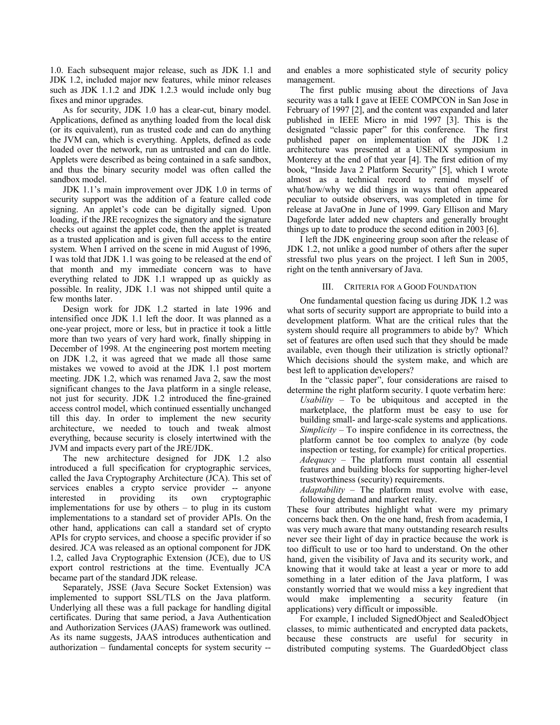1.0. Each subsequent major release, such as JDK 1.1 and JDK 1.2, included major new features, while minor releases such as JDK 1.1.2 and JDK 1.2.3 would include only bug fixes and minor upgrades.

As for security, JDK 1.0 has a clear-cut, binary model. Applications, defined as anything loaded from the local disk (or its equivalent), run as trusted code and can do anything the JVM can, which is everything. Applets, defined as code loaded over the network, run as untrusted and can do little. Applets were described as being contained in a safe sandbox, and thus the binary security model was often called the sandbox model.

JDK 1.1's main improvement over JDK 1.0 in terms of security support was the addition of a feature called code signing. An applet's code can be digitally signed. Upon loading, if the JRE recognizes the signatory and the signature checks out against the applet code, then the applet is treated as a trusted application and is given full access to the entire system. When I arrived on the scene in mid August of 1996, I was told that JDK 1.1 was going to be released at the end of that month and my immediate concern was to have everything related to JDK 1.1 wrapped up as quickly as possible. In reality, JDK 1.1 was not shipped until quite a few months later.

Design work for JDK 1.2 started in late 1996 and intensified once JDK 1.1 left the door. It was planned as a one-year project, more or less, but in practice it took a little more than two years of very hard work, finally shipping in December of 1998. At the engineering post mortem meeting on JDK 1.2, it was agreed that we made all those same mistakes we vowed to avoid at the JDK 1.1 post mortem meeting. JDK 1.2, which was renamed Java 2, saw the most significant changes to the Java platform in a single release, not just for security. JDK 1.2 introduced the fine-grained access control model, which continued essentially unchanged till this day. In order to implement the new security architecture, we needed to touch and tweak almost everything, because security is closely intertwined with the JVM and impacts every part of the JRE/JDK.

The new architecture designed for JDK 1.2 also introduced a full specification for cryptographic services, called the Java Cryptography Architecture (JCA). This set of services enables a crypto service provider -- anyone interested in providing its own cryptographic implementations for use by others – to plug in its custom implementations to a standard set of provider APIs. On the other hand, applications can call a standard set of crypto APIs for crypto services, and choose a specific provider if so desired. JCA was released as an optional component for JDK 1.2, called Java Cryptographic Extension (JCE), due to US export control restrictions at the time. Eventually JCA became part of the standard JDK release.

Separately, JSSE (Java Secure Socket Extension) was implemented to support SSL/TLS on the Java platform. Underlying all these was a full package for handling digital certificates. During that same period, a Java Authentication and Authorization Services (JAAS) framework was outlined. As its name suggests, JAAS introduces authentication and authorization – fundamental concepts for system security --

and enables a more sophisticated style of security policy management.

The first public musing about the directions of Java security was a talk I gave at IEEE COMPCON in San Jose in February of 1997 [2], and the content was expanded and later published in IEEE Micro in mid 1997 [3]. This is the designated "classic paper" for this conference. The first published paper on implementation of the JDK 1.2 architecture was presented at a USENIX symposium in Monterey at the end of that year [4]. The first edition of my book, "Inside Java 2 Platform Security" [5], which I wrote almost as a technical record to remind myself of what/how/why we did things in ways that often appeared peculiar to outside observers, was completed in time for release at JavaOne in June of 1999. Gary Ellison and Mary Dageforde later added new chapters and generally brought things up to date to produce the second edition in 2003 [6].

I left the JDK engineering group soon after the release of JDK 1.2, not unlike a good number of others after the super stressful two plus years on the project. I left Sun in 2005, right on the tenth anniversary of Java.

# III. CRITERIA FOR A GOOD FOUNDATION

One fundamental question facing us during JDK 1.2 was what sorts of security support are appropriate to build into a development platform. What are the critical rules that the system should require all programmers to abide by? Which set of features are often used such that they should be made available, even though their utilization is strictly optional? Which decisions should the system make, and which are best left to application developers?

In the "classic paper", four considerations are raised to determine the right platform security. I quote verbatim here:

*Usability* – To be ubiquitous and accepted in the marketplace, the platform must be easy to use for building small- and large-scale systems and applications. *Simplicity* – To inspire confidence in its correctness, the platform cannot be too complex to analyze (by code inspection or testing, for example) for critical properties. *Adequacy* – The platform must contain all essential features and building blocks for supporting higher-level trustworthiness (security) requirements.

*Adaptability* – The platform must evolve with ease, following demand and market reality.

These four attributes highlight what were my primary concerns back then. On the one hand, fresh from academia, I was very much aware that many outstanding research results never see their light of day in practice because the work is too difficult to use or too hard to understand. On the other hand, given the visibility of Java and its security work, and knowing that it would take at least a year or more to add something in a later edition of the Java platform, I was constantly worried that we would miss a key ingredient that would make implementing a security feature (in applications) very difficult or impossible.

For example, I included SignedObject and SealedObject classes, to mimic authenticated and encrypted data packets, because these constructs are useful for security in distributed computing systems. The GuardedObject class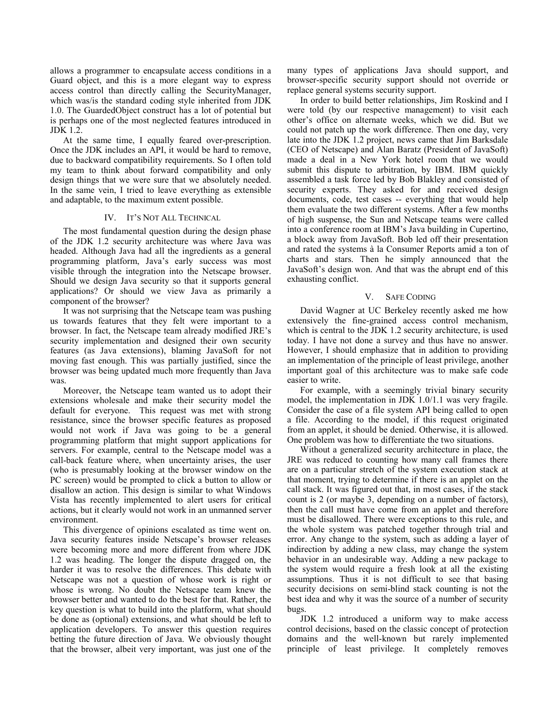allows a programmer to encapsulate access conditions in a Guard object, and this is a more elegant way to express access control than directly calling the SecurityManager, which was/is the standard coding style inherited from JDK 1.0. The GuardedObject construct has a lot of potential but is perhaps one of the most neglected features introduced in JDK 1.2.

At the same time, I equally feared over-prescription. Once the JDK includes an API, it would be hard to remove, due to backward compatibility requirements. So I often told my team to think about forward compatibility and only design things that we were sure that we absolutely needed. In the same vein, I tried to leave everything as extensible and adaptable, to the maximum extent possible.

# IV. IT'S NOT ALL TECHNICAL

The most fundamental question during the design phase of the JDK 1.2 security architecture was where Java was headed. Although Java had all the ingredients as a general programming platform, Java's early success was most visible through the integration into the Netscape browser. Should we design Java security so that it supports general applications? Or should we view Java as primarily a component of the browser?

It was not surprising that the Netscape team was pushing us towards features that they felt were important to a browser. In fact, the Netscape team already modified JRE's security implementation and designed their own security features (as Java extensions), blaming JavaSoft for not moving fast enough. This was partially justified, since the browser was being updated much more frequently than Java was.

Moreover, the Netscape team wanted us to adopt their extensions wholesale and make their security model the default for everyone. This request was met with strong resistance, since the browser specific features as proposed would not work if Java was going to be a general programming platform that might support applications for servers. For example, central to the Netscape model was a call-back feature where, when uncertainty arises, the user (who is presumably looking at the browser window on the PC screen) would be prompted to click a button to allow or disallow an action. This design is similar to what Windows Vista has recently implemented to alert users for critical actions, but it clearly would not work in an unmanned server environment.

This divergence of opinions escalated as time went on. Java security features inside Netscape's browser releases were becoming more and more different from where JDK 1.2 was heading. The longer the dispute dragged on, the harder it was to resolve the differences. This debate with Netscape was not a question of whose work is right or whose is wrong. No doubt the Netscape team knew the browser better and wanted to do the best for that. Rather, the key question is what to build into the platform, what should be done as (optional) extensions, and what should be left to application developers. To answer this question requires betting the future direction of Java. We obviously thought that the browser, albeit very important, was just one of the many types of applications Java should support, and browser-specific security support should not override or replace general systems security support.

In order to build better relationships, Jim Roskind and I were told (by our respective management) to visit each other's office on alternate weeks, which we did. But we could not patch up the work difference. Then one day, very late into the JDK 1.2 project, news came that Jim Barksdale (CEO of Netscape) and Alan Baratz (President of JavaSoft) made a deal in a New York hotel room that we would submit this dispute to arbitration, by IBM. IBM quickly assembled a task force led by Bob Blakley and consisted of security experts. They asked for and received design documents, code, test cases -- everything that would help them evaluate the two different systems. After a few months of high suspense, the Sun and Netscape teams were called into a conference room at IBM's Java building in Cupertino, a block away from JavaSoft. Bob led off their presentation and rated the systems à la Consumer Reports amid a ton of charts and stars. Then he simply announced that the JavaSoft's design won. And that was the abrupt end of this exhausting conflict.

## V. SAFE CODING

David Wagner at UC Berkeley recently asked me how extensively the fine-grained access control mechanism, which is central to the JDK 1.2 security architecture, is used today. I have not done a survey and thus have no answer. However, I should emphasize that in addition to providing an implementation of the principle of least privilege, another important goal of this architecture was to make safe code easier to write.

For example, with a seemingly trivial binary security model, the implementation in JDK 1.0/1.1 was very fragile. Consider the case of a file system API being called to open a file. According to the model, if this request originated from an applet, it should be denied. Otherwise, it is allowed. One problem was how to differentiate the two situations.

Without a generalized security architecture in place, the JRE was reduced to counting how many call frames there are on a particular stretch of the system execution stack at that moment, trying to determine if there is an applet on the call stack. It was figured out that, in most cases, if the stack count is 2 (or maybe 3, depending on a number of factors), then the call must have come from an applet and therefore must be disallowed. There were exceptions to this rule, and the whole system was patched together through trial and error. Any change to the system, such as adding a layer of indirection by adding a new class, may change the system behavior in an undesirable way. Adding a new package to the system would require a fresh look at all the existing assumptions. Thus it is not difficult to see that basing security decisions on semi-blind stack counting is not the best idea and why it was the source of a number of security bugs.

JDK 1.2 introduced a uniform way to make access control decisions, based on the classic concept of protection domains and the well-known but rarely implemented principle of least privilege. It completely removes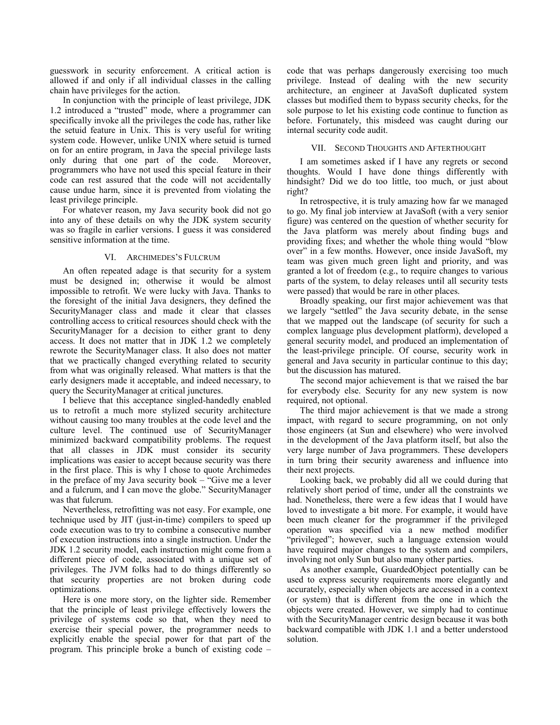guesswork in security enforcement. A critical action is allowed if and only if all individual classes in the calling chain have privileges for the action.

In conjunction with the principle of least privilege, JDK 1.2 introduced a "trusted" mode, where a programmer can specifically invoke all the privileges the code has, rather like the setuid feature in Unix. This is very useful for writing system code. However, unlike UNIX where setuid is turned on for an entire program, in Java the special privilege lasts only during that one part of the code. Moreover, programmers who have not used this special feature in their code can rest assured that the code will not accidentally cause undue harm, since it is prevented from violating the least privilege principle.

For whatever reason, my Java security book did not go into any of these details on why the JDK system security was so fragile in earlier versions. I guess it was considered sensitive information at the time.

# VI. ARCHIMEDES'S FULCRUM

An often repeated adage is that security for a system must be designed in; otherwise it would be almost impossible to retrofit. We were lucky with Java. Thanks to the foresight of the initial Java designers, they defined the SecurityManager class and made it clear that classes controlling access to critical resources should check with the SecurityManager for a decision to either grant to deny access. It does not matter that in JDK 1.2 we completely rewrote the SecurityManager class. It also does not matter that we practically changed everything related to security from what was originally released. What matters is that the early designers made it acceptable, and indeed necessary, to query the SecurityManager at critical junctures.

I believe that this acceptance singled-handedly enabled us to retrofit a much more stylized security architecture without causing too many troubles at the code level and the culture level. The continued use of SecurityManager minimized backward compatibility problems. The request that all classes in JDK must consider its security implications was easier to accept because security was there in the first place. This is why I chose to quote Archimedes in the preface of my Java security book – "Give me a lever and a fulcrum, and I can move the globe." SecurityManager was that fulcrum.

Nevertheless, retrofitting was not easy. For example, one technique used by JIT (just-in-time) compilers to speed up code execution was to try to combine a consecutive number of execution instructions into a single instruction. Under the JDK 1.2 security model, each instruction might come from a different piece of code, associated with a unique set of privileges. The JVM folks had to do things differently so that security properties are not broken during code optimizations.

Here is one more story, on the lighter side. Remember that the principle of least privilege effectively lowers the privilege of systems code so that, when they need to exercise their special power, the programmer needs to explicitly enable the special power for that part of the program. This principle broke a bunch of existing code –

code that was perhaps dangerously exercising too much privilege. Instead of dealing with the new security architecture, an engineer at JavaSoft duplicated system classes but modified them to bypass security checks, for the sole purpose to let his existing code continue to function as before. Fortunately, this misdeed was caught during our internal security code audit.

# VII. SECOND THOUGHTS AND AFTERTHOUGHT

I am sometimes asked if I have any regrets or second thoughts. Would I have done things differently with hindsight? Did we do too little, too much, or just about right?

In retrospective, it is truly amazing how far we managed to go. My final job interview at JavaSoft (with a very senior figure) was centered on the question of whether security for the Java platform was merely about finding bugs and providing fixes; and whether the whole thing would "blow over" in a few months. However, once inside JavaSoft, my team was given much green light and priority, and was granted a lot of freedom (e.g., to require changes to various parts of the system, to delay releases until all security tests were passed) that would be rare in other places.

Broadly speaking, our first major achievement was that we largely "settled" the Java security debate, in the sense that we mapped out the landscape (of security for such a complex language plus development platform), developed a general security model, and produced an implementation of the least-privilege principle. Of course, security work in general and Java security in particular continue to this day; but the discussion has matured.

The second major achievement is that we raised the bar for everybody else. Security for any new system is now required, not optional.

The third major achievement is that we made a strong impact, with regard to secure programming, on not only those engineers (at Sun and elsewhere) who were involved in the development of the Java platform itself, but also the very large number of Java programmers. These developers in turn bring their security awareness and influence into their next projects.

Looking back, we probably did all we could during that relatively short period of time, under all the constraints we had. Nonetheless, there were a few ideas that I would have loved to investigate a bit more. For example, it would have been much cleaner for the programmer if the privileged operation was specified via a new method modifier "privileged"; however, such a language extension would have required major changes to the system and compilers, involving not only Sun but also many other parties.

As another example, GuardedObject potentially can be used to express security requirements more elegantly and accurately, especially when objects are accessed in a context (or system) that is different from the one in which the objects were created. However, we simply had to continue with the SecurityManager centric design because it was both backward compatible with JDK 1.1 and a better understood solution.